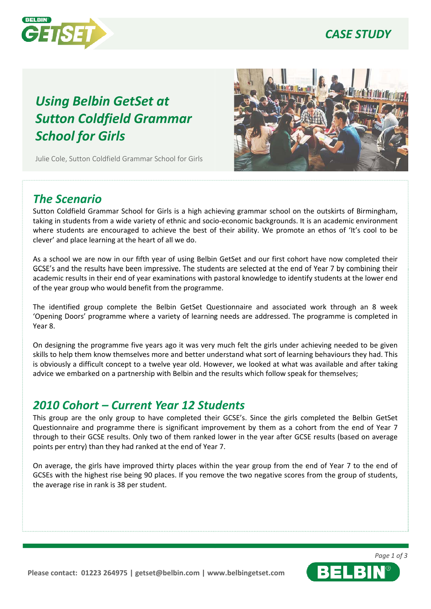

### *CASE STUDY*

# *Using Belbin GetSet at Sutton Coldfield Grammar School for Girls*

Julie Cole, Sutton Coldfield Grammar School for Girls



### *The Scenario*

Sutton Coldfield Grammar School for Girls is a high achieving grammar school on the outskirts of Birmingham, taking in students from a wide variety of ethnic and socio-economic backgrounds. It is an academic environment where students are encouraged to achieve the best of their ability. We promote an ethos of 'It's cool to be clever' and place learning at the heart of all we do.

As a school we are now in our fifth year of using Belbin GetSet and our first cohort have now completed their GCSE's and the results have been impressive. The students are selected at the end of Year 7 by combining their academic results in their end of year examinations with pastoral knowledge to identify students at the lower end of the year group who would benefit from the programm me.

The identified group complete the Belbin GetSet Qu estionnaire and associated work through an 8 week 'Opening Doors' programme where a variety of learning needs are addressed. The programme is completed in Year 8.

On designing the programme five years ago it was very much felt the girls under achieving needed to be given skills to help them know themselves more and better un derstand what sort of learning behaviours they had. This is obviously a difficult concept to a twelve year old. However, we looked at what was available and after taking advice we embarked on a partnership with Belbin and th e results which follow speak for themselves;

### *2010 Cohort – Current Year 12 Stu dents*

This group are the only group to have completed their GCSE's. Since the girls completed the Belbin GetSet Questionnaire and programme there is significant improvement by them as a cohort from the end of Year 7 through to their GCSE results. Only two of them ranked lower in the year after GCSE results (based on average points per entry) than they had ranked at the end of Yea r 7.

On average, the girls have improved thirty places within the year group from the end of Year 7 to the end of GCSEs with the highest rise being 90 places. If you remove the two negative scores from the group of students, the average rise in rank is 38 per student.

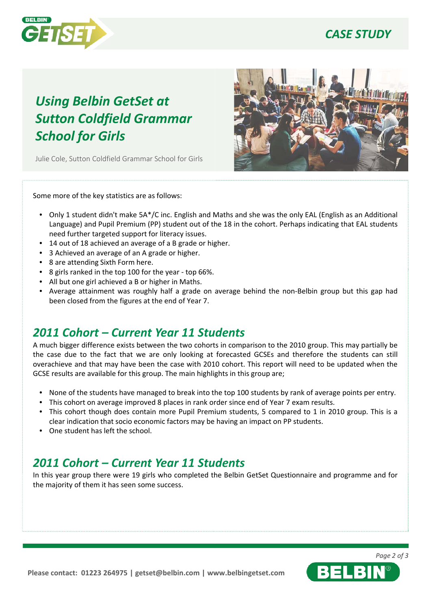

## *CASE STUDY*

# *Using Belbin GetSet at Sutton Coldfield Grammar School for Girls*

Julie Cole, Sutton Coldfield Grammar School for Girls



Some more of the key statistics are as follows:

- Only 1 student didn't make 5A\*/C inc. English and Maths and she was the only EAL (English as an Additional Language) and Pupil Premium (PP) student out of the 18 in the cohort. Perhaps indicating that EAL students need further targeted support for literacy issues.
- 14 out of 18 achieved an average of a B grade or higher.
- 3 Achieved an average of an A grade or higher.
- 8 are attending Sixth Form here.
- 8 girls ranked in the top 100 for the year top 66%.
- All but one girl achieved a B or higher in Maths.
- Average attainment was roughly half a grade on average behind the non-Belbin group but this gap had been closed from the figures at the end of Year 7.

#### *2011 Cohort – Current Year 11 Stu dents*

A much bigger difference exists between the two cohorts in comparison to the 2010 group. This may partially be the case due to the fact that we are only looking at forecasted GCSEs and therefore the students can still overachieve and that may have been the case with 201 0 cohort. This report will need to be updated when the GCSE results are available for this group. The main highlights in this group are;

- None of the students have managed to break into the top 100 students by rank of average points per entry.
- This cohort on average improved 8 places in rank order since end of Year 7 exam results.
- This cohort though does contain more Pupil Premium students, 5 compared to 1 in 2010 group. This is a clear indication that socio economic factors may be having an impact on PP students.
- One student has left the school.

#### *2011 Cohort – Current Year 11 Stu dents*

In this year group there were 19 girls who completed the Belbin GetSet Questionnaire and programme and for the majority of them it has seen some success.